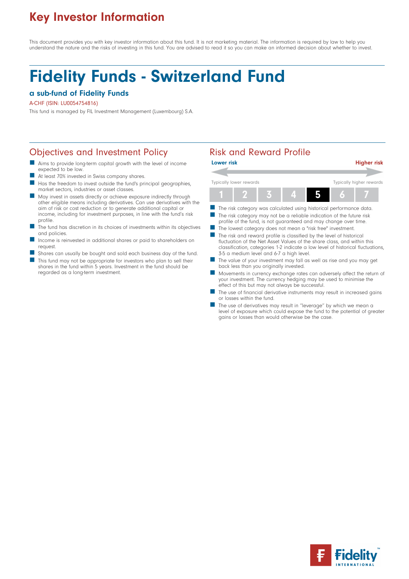# Key Investor Information

This document provides you with key investor information about this fund. It is not marketing material. The information is required by law to help you understand the nature and the risks of investing in this fund. You are advised to read it so you can make an informed decision about whether to invest.

# Fidelity Funds - Switzerland Fund

## a sub-fund of Fidelity Funds

#### A-CHF (ISIN: LU0054754816)

This fund is managed by FIL Investment Management (Luxembourg) S.A.

# Objectives and Investment Policy **Risk and Reward Profile**

- Aims to provide long-term capital growth with the level of income expected to be low.
- At least 70% invested in Swiss company shares.
- Has the freedom to invest outside the fund's principal geographies, market sectors, industries or asset classes.
- May invest in assets directly or achieve exposure indirectly through other eligible means including derivatives. Can use derivatives with the aim of risk or cost reduction or to generate additional capital or income, including for investment purposes, in line with the fund's risk profile.
- The fund has discretion in its choices of investments within its objectives and policies.
- Income is reinvested in additional shares or paid to shareholders on request.
- Shares can usually be bought and sold each business day of the fund.
- This fund may not be appropriate for investors who plan to sell their shares in the fund within 5 years. Investment in the fund should be regarded as a long-term investment.



- The risk category may not be a reliable indication of the future risk profile of the fund, is not guaranteed and may change over time.
- The lowest category does not mean a "risk free" investment.
- The risk and reward profile is classified by the level of historical fluctuation of the Net Asset Values of the share class, and within this classification, categories 1-2 indicate a low level of historical fluctuations, 3-5 a medium level and 6-7 a high level.
- The value of your investment may fall as well as rise and you may get back less than you originally invested.
- Movements in currency exchange rates can adversely affect the return of your investment. The currency hedging may be used to minimise the effect of this but may not always be successful.
- The use of financial derivative instruments may result in increased gains or losses within the fund.
- The use of derivatives may result in "leverage" by which we mean a level of exposure which could expose the fund to the potential of greater gains or losses than would otherwise be the case.